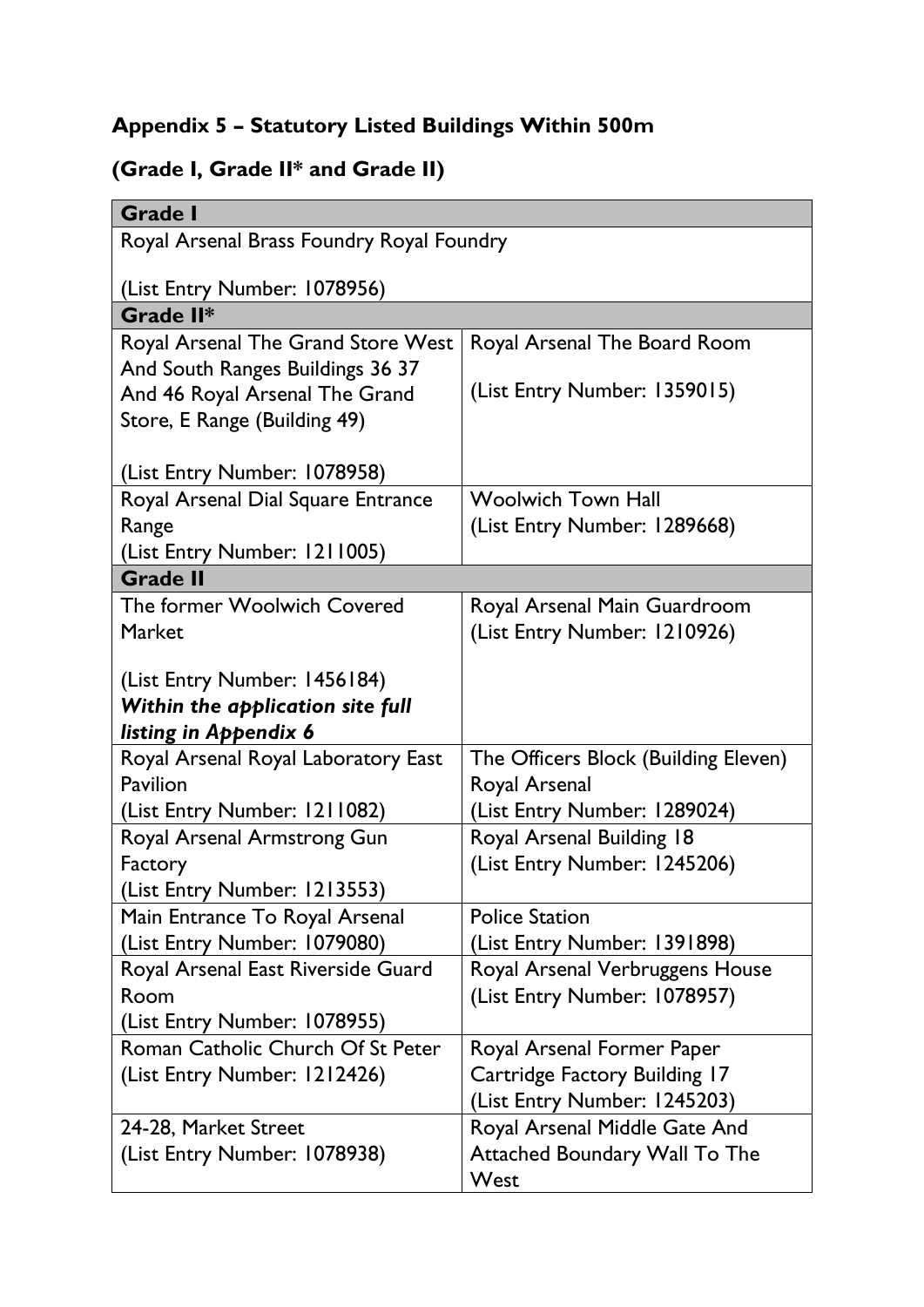## **Appendix 5 – Statutory Listed Buildings Within 500m**

## **(Grade I, Grade II\* and Grade II)**

| <b>Grade I</b>                            |                                      |  |
|-------------------------------------------|--------------------------------------|--|
| Royal Arsenal Brass Foundry Royal Foundry |                                      |  |
| (List Entry Number: 1078956)              |                                      |  |
| Grade II*                                 |                                      |  |
| <b>Royal Arsenal The Grand Store West</b> | Royal Arsenal The Board Room         |  |
| And South Ranges Buildings 36 37          |                                      |  |
| And 46 Royal Arsenal The Grand            | (List Entry Number: 1359015)         |  |
| Store, E Range (Building 49)              |                                      |  |
|                                           |                                      |  |
| (List Entry Number: 1078958)              |                                      |  |
| Royal Arsenal Dial Square Entrance        | <b>Woolwich Town Hall</b>            |  |
| Range                                     | (List Entry Number: 1289668)         |  |
| (List Entry Number: 1211005)              |                                      |  |
| <b>Grade II</b>                           |                                      |  |
| The former Woolwich Covered               | Royal Arsenal Main Guardroom         |  |
| Market                                    | (List Entry Number: 1210926)         |  |
|                                           |                                      |  |
| (List Entry Number: 1456184)              |                                      |  |
| Within the application site full          |                                      |  |
| listing in Appendix 6                     |                                      |  |
| Royal Arsenal Royal Laboratory East       | The Officers Block (Building Eleven) |  |
| Pavilion                                  | Royal Arsenal                        |  |
| (List Entry Number: 1211082)              | (List Entry Number: 1289024)         |  |
| <b>Royal Arsenal Armstrong Gun</b>        | Royal Arsenal Building 18            |  |
| Factory                                   | (List Entry Number: 1245206)         |  |
| (List Entry Number: 1213553)              |                                      |  |
| Main Entrance To Royal Arsenal            | <b>Police Station</b>                |  |
| (List Entry Number: 1079080)              | (List Entry Number: 1391898)         |  |
| Royal Arsenal East Riverside Guard        | Royal Arsenal Verbruggens House      |  |
| Room                                      | (List Entry Number: 1078957)         |  |
| (List Entry Number: 1078955)              |                                      |  |
| Roman Catholic Church Of St Peter         | Royal Arsenal Former Paper           |  |
| (List Entry Number: 1212426)              | Cartridge Factory Building 17        |  |
|                                           | (List Entry Number: 1245203)         |  |
| 24-28, Market Street                      | Royal Arsenal Middle Gate And        |  |
| (List Entry Number: 1078938)              | <b>Attached Boundary Wall To The</b> |  |
|                                           | West                                 |  |